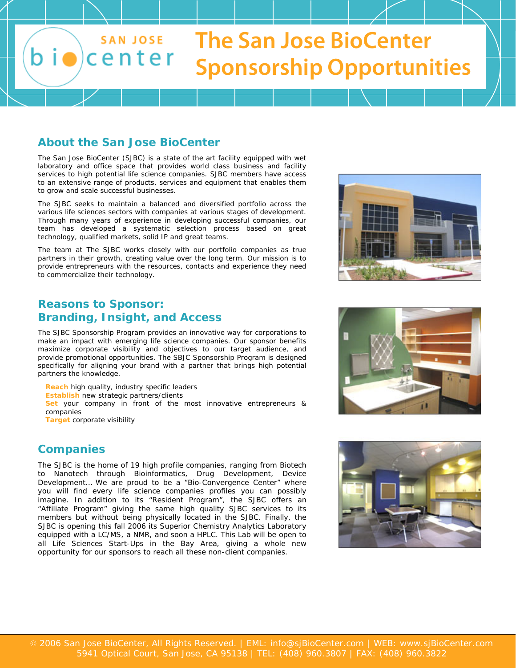

## **About the San Jose BioCenter**

The San Jose BioCenter (SJBC) is a state of the art facility equipped with wet laboratory and office space that provides world class business and facility services to high potential life science companies. SJBC members have access to an extensive range of products, services and equipment that enables them to grow and scale successful businesses.

The SJBC seeks to maintain a balanced and diversified portfolio across the various life sciences sectors with companies at various stages of development. Through many years of experience in developing successful companies, our team has developed a systematic selection process based on great technology, qualified markets, solid IP and great teams.

The team at The SJBC works closely with our portfolio companies as true partners in their growth, creating value over the long term. Our mission is to provide entrepreneurs with the resources, contacts and experience they need to commercialize their technology.

# **Reasons to Sponsor: Branding, Insight, and Access**

The SJBC Sponsorship Program provides an innovative way for corporations to make an impact with emerging life science companies. Our sponsor benefits maximize corporate visibility and objectives to our target audience, and provide promotional opportunities. The SBJC Sponsorship Program is designed specifically for aligning your brand with a partner that brings high potential partners the knowledge.

**Reach** high quality, industry specific leaders **Establish** new strategic partners/clients **Set** your company in front of the most innovative entrepreneurs & companies

**Target** corporate visibility

## **Companies**

The SJBC is the home of 19 high profile companies, ranging from Biotech to Nanotech through Bioinformatics, Drug Development, Device Development… We are proud to be a "Bio-Convergence Center" where you will find every life science companies profiles you can possibly imagine. In addition to its "Resident Program", the SJBC offers an "Affiliate Program" giving the same high quality SJBC services to its members but without being physically located in the SJBC. Finally, the SJBC is opening this fall 2006 its Superior Chemistry Analytics Laboratory equipped with a LC/MS, a NMR, and soon a HPLC. This Lab will be open to all Life Sciences Start-Ups in the Bay Area, giving a whole new opportunity for our sponsors to reach all these non-client companies.





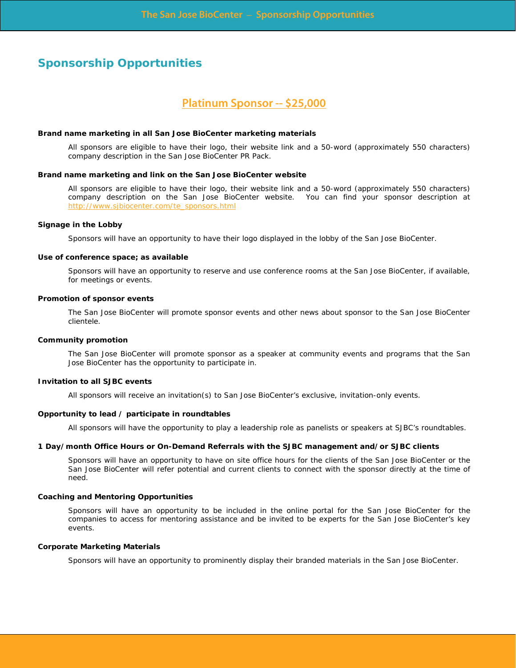## **Sponsorship Opportunities**

## **Platinum Sponsor -- \$25,000**

#### **Brand name marketing in all San Jose BioCenter marketing materials**

All sponsors are eligible to have their logo, their website link and a 50-word (approximately 550 characters) company description in the San Jose BioCenter PR Pack.

#### **Brand name marketing and link on the San Jose BioCenter website**

All sponsors are eligible to have their logo, their website link and a 50-word (approximately 550 characters) company description on the San Jose BioCenter website. You can find your sponsor description at [http://www.sjbiocenter.com/te\\_sponsors.html](http://www.sjbiocenter.com/te_sponsors.html)

#### **Signage in the Lobby**

Sponsors will have an opportunity to have their logo displayed in the lobby of the San Jose BioCenter.

#### **Use of conference space; as available**

Sponsors will have an opportunity to reserve and use conference rooms at the San Jose BioCenter, if available, for meetings or events.

#### **Promotion of sponsor events**

The San Jose BioCenter will promote sponsor events and other news about sponsor to the San Jose BioCenter clientele.

#### **Community promotion**

The San Jose BioCenter will promote sponsor as a speaker at community events and programs that the San Jose BioCenter has the opportunity to participate in.

#### **Invitation to all SJBC events**

All sponsors will receive an invitation(s) to San Jose BioCenter's exclusive, invitation-only events.

#### **Opportunity to lead / participate in roundtables**

All sponsors will have the opportunity to play a leadership role as panelists or speakers at SJBC's roundtables.

#### **1 Day/month Office Hours or On-Demand Referrals with the SJBC management and/or SJBC clients**

Sponsors will have an opportunity to have on site office hours for the clients of the San Jose BioCenter or the San Jose BioCenter will refer potential and current clients to connect with the sponsor directly at the time of need.

### **Coaching and Mentoring Opportunities**

Sponsors will have an opportunity to be included in the online portal for the San Jose BioCenter for the companies to access for mentoring assistance and be invited to be experts for the San Jose BioCenter's key events.

### **Corporate Marketing Materials**

Sponsors will have an opportunity to prominently display their branded materials in the San Jose BioCenter.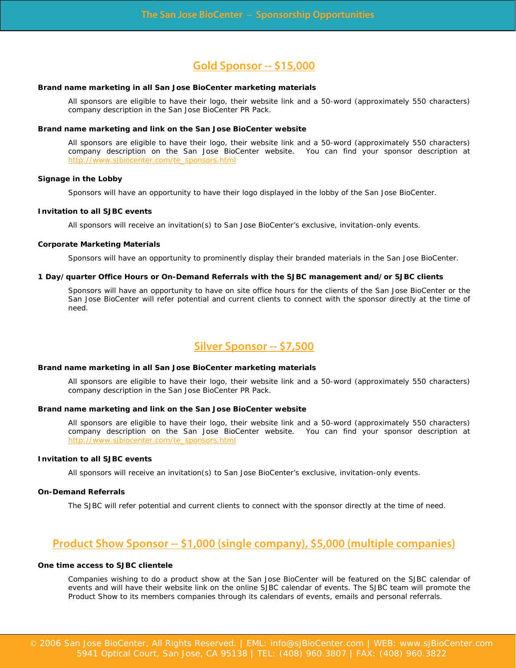## **Gold Sponsor -- \$15,000**

### **Brand name marketing in all San Jose BioCenter marketing materials**

All sponsors are eligible to have their logo, their website link and a 50-word (approximately 550 characters) company description in the San Jose BioCenter PR Pack.

### **Brand name marketing and link on the San Jose BioCenter website**

All sponsors are eligible to have their logo, their website link and a 50-word (approximately 550 characters) company description on the San Jose BioCenter website. You can find your sponsor description at [http://www.sjbiocenter.com/te\\_sponsors.html](http://www.sjbiocenter.com/te_sponsors.html)

#### **Signage in the Lobby**

Sponsors will have an opportunity to have their logo displayed in the lobby of the San Jose BioCenter.

#### **Invitation to all SJBC events**

All sponsors will receive an invitation(s) to San Jose BioCenter's exclusive, invitation-only events.

#### **Corporate Marketing Materials**

Sponsors will have an opportunity to prominently display their branded materials in the San Jose BioCenter.

### **1 Day/quarter Office Hours or On-Demand Referrals with the SJBC management and/or SJBC clients**

Sponsors will have an opportunity to have on site office hours for the clients of the San Jose BioCenter or the San Jose BioCenter will refer potential and current clients to connect with the sponsor directly at the time of need.

# **Silver Sponsor -- \$7,500**

#### **Brand name marketing in all San Jose BioCenter marketing materials**

All sponsors are eligible to have their logo, their website link and a 50-word (approximately 550 characters) company description in the San Jose BioCenter PR Pack.

#### **Brand name marketing and link on the San Jose BioCenter website**

All sponsors are eligible to have their logo, their website link and a 50-word (approximately 550 characters) company description on the San Jose BioCenter website. You can find your sponsor description at [http://www.sjbiocenter.com/te\\_sponsors.html](http://www.sjbiocenter.com/te_sponsors.html)

### **Invitation to all SJBC events**

All sponsors will receive an invitation(s) to San Jose BioCenter's exclusive, invitation-only events.

#### **On-Demand Referrals**

The SJBC will refer potential and current clients to connect with the sponsor directly at the time of need.

## **Product Show Sponsor -- \$1,000 (single company), \$5,000 (multiple companies)**

### **One time access to SJBC clientele**

Companies wishing to do a product show at the San Jose BioCenter will be featured on the SJBC calendar of events and will have their website link on the online SJBC calendar of events. The SJBC team will promote the Product Show to its members companies through its calendars of events, emails and personal referrals.